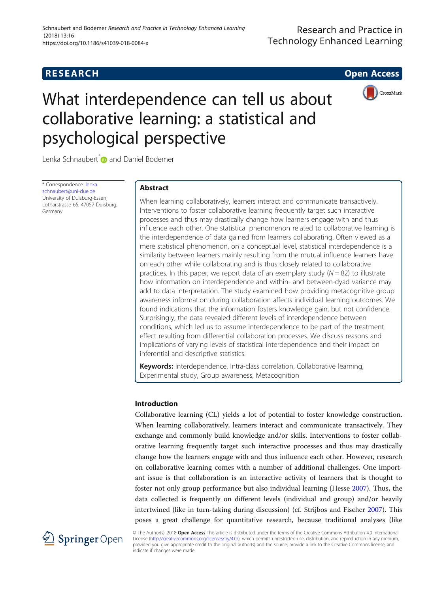# **RESEARCH CHE Open Access**



# What interdependence can tell us about collaborative learning: a statistical and psychological perspective

Lenka Schnaubert<sup>\*</sup> and Daniel Bodemer

\* Correspondence: [lenka.](mailto:lenka.schnaubert@uni-due.de) [schnaubert@uni-due.de](mailto:lenka.schnaubert@uni-due.de) University of Duisburg-Essen, Lotharstrasse 65, 47057 Duisburg, Germany

# Abstract

When learning collaboratively, learners interact and communicate transactively. Interventions to foster collaborative learning frequently target such interactive processes and thus may drastically change how learners engage with and thus influence each other. One statistical phenomenon related to collaborative learning is the interdependence of data gained from learners collaborating. Often viewed as a mere statistical phenomenon, on a conceptual level, statistical interdependence is a similarity between learners mainly resulting from the mutual influence learners have on each other while collaborating and is thus closely related to collaborative practices. In this paper, we report data of an exemplary study  $(N = 82)$  to illustrate how information on interdependence and within- and between-dyad variance may add to data interpretation. The study examined how providing metacognitive group awareness information during collaboration affects individual learning outcomes. We found indications that the information fosters knowledge gain, but not confidence. Surprisingly, the data revealed different levels of interdependence between conditions, which led us to assume interdependence to be part of the treatment effect resulting from differential collaboration processes. We discuss reasons and implications of varying levels of statistical interdependence and their impact on inferential and descriptive statistics.

Keywords: Interdependence, Intra-class correlation, Collaborative learning, Experimental study, Group awareness, Metacognition

# Introduction

Collaborative learning (CL) yields a lot of potential to foster knowledge construction. When learning collaboratively, learners interact and communicate transactively. They exchange and commonly build knowledge and/or skills. Interventions to foster collaborative learning frequently target such interactive processes and thus may drastically change how the learners engage with and thus influence each other. However, research on collaborative learning comes with a number of additional challenges. One important issue is that collaboration is an interactive activity of learners that is thought to foster not only group performance but also individual learning (Hesse [2007](#page-16-0)). Thus, the data collected is frequently on different levels (individual and group) and/or heavily intertwined (like in turn-taking during discussion) (cf. Strijbos and Fischer [2007\)](#page-17-0). This poses a great challenge for quantitative research, because traditional analyses (like



© The Author(s). 2018 Open Access This article is distributed under the terms of the Creative Commons Attribution 4.0 International License [\(http://creativecommons.org/licenses/by/4.0/](http://creativecommons.org/licenses/by/4.0/)), which permits unrestricted use, distribution, and reproduction in any medium, provided you give appropriate credit to the original author(s) and the source, provide a link to the Creative Commons license, and indicate if changes were made.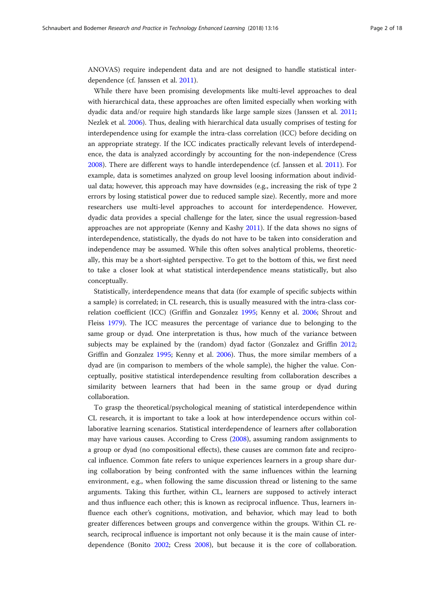ANOVAS) require independent data and are not designed to handle statistical interdependence (cf. Janssen et al. [2011\)](#page-16-0).

While there have been promising developments like multi-level approaches to deal with hierarchical data, these approaches are often limited especially when working with dyadic data and/or require high standards like large sample sizes (Janssen et al. [2011](#page-16-0); Nezlek et al. [2006\)](#page-17-0). Thus, dealing with hierarchical data usually comprises of testing for interdependence using for example the intra-class correlation (ICC) before deciding on an appropriate strategy. If the ICC indicates practically relevant levels of interdependence, the data is analyzed accordingly by accounting for the non-independence (Cress [2008](#page-16-0)). There are different ways to handle interdependence (cf. Janssen et al. [2011](#page-16-0)). For example, data is sometimes analyzed on group level loosing information about individual data; however, this approach may have downsides (e.g., increasing the risk of type 2 errors by losing statistical power due to reduced sample size). Recently, more and more researchers use multi-level approaches to account for interdependence. However, dyadic data provides a special challenge for the later, since the usual regression-based approaches are not appropriate (Kenny and Kashy [2011\)](#page-16-0). If the data shows no signs of interdependence, statistically, the dyads do not have to be taken into consideration and independence may be assumed. While this often solves analytical problems, theoretically, this may be a short-sighted perspective. To get to the bottom of this, we first need to take a closer look at what statistical interdependence means statistically, but also conceptually.

Statistically, interdependence means that data (for example of specific subjects within a sample) is correlated; in CL research, this is usually measured with the intra-class correlation coefficient (ICC) (Griffin and Gonzalez [1995;](#page-16-0) Kenny et al. [2006](#page-17-0); Shrout and Fleiss [1979\)](#page-17-0). The ICC measures the percentage of variance due to belonging to the same group or dyad. One interpretation is thus, how much of the variance between subjects may be explained by the (random) dyad factor (Gonzalez and Griffin [2012](#page-16-0); Griffin and Gonzalez [1995](#page-16-0); Kenny et al. [2006](#page-17-0)). Thus, the more similar members of a dyad are (in comparison to members of the whole sample), the higher the value. Conceptually, positive statistical interdependence resulting from collaboration describes a similarity between learners that had been in the same group or dyad during collaboration.

To grasp the theoretical/psychological meaning of statistical interdependence within CL research, it is important to take a look at how interdependence occurs within collaborative learning scenarios. Statistical interdependence of learners after collaboration may have various causes. According to Cress ([2008](#page-16-0)), assuming random assignments to a group or dyad (no compositional effects), these causes are common fate and reciprocal influence. Common fate refers to unique experiences learners in a group share during collaboration by being confronted with the same influences within the learning environment, e.g., when following the same discussion thread or listening to the same arguments. Taking this further, within CL, learners are supposed to actively interact and thus influence each other; this is known as reciprocal influence. Thus, learners influence each other's cognitions, motivation, and behavior, which may lead to both greater differences between groups and convergence within the groups. Within CL research, reciprocal influence is important not only because it is the main cause of interdependence (Bonito [2002](#page-16-0); Cress [2008](#page-16-0)), but because it is the core of collaboration.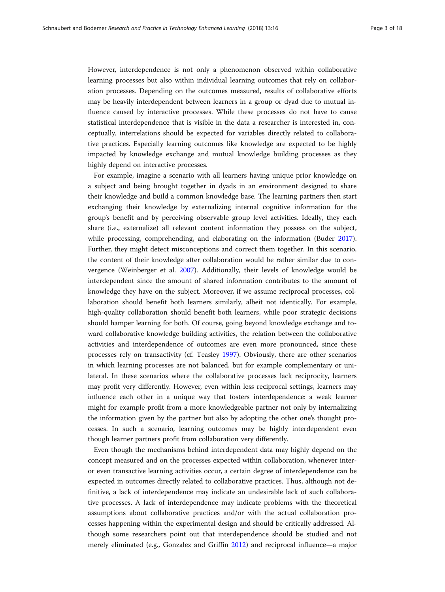However, interdependence is not only a phenomenon observed within collaborative learning processes but also within individual learning outcomes that rely on collaboration processes. Depending on the outcomes measured, results of collaborative efforts may be heavily interdependent between learners in a group or dyad due to mutual influence caused by interactive processes. While these processes do not have to cause statistical interdependence that is visible in the data a researcher is interested in, conceptually, interrelations should be expected for variables directly related to collaborative practices. Especially learning outcomes like knowledge are expected to be highly impacted by knowledge exchange and mutual knowledge building processes as they highly depend on interactive processes.

For example, imagine a scenario with all learners having unique prior knowledge on a subject and being brought together in dyads in an environment designed to share their knowledge and build a common knowledge base. The learning partners then start exchanging their knowledge by externalizing internal cognitive information for the group's benefit and by perceiving observable group level activities. Ideally, they each share (i.e., externalize) all relevant content information they possess on the subject, while processing, comprehending, and elaborating on the information (Buder [2017](#page-16-0)). Further, they might detect misconceptions and correct them together. In this scenario, the content of their knowledge after collaboration would be rather similar due to convergence (Weinberger et al. [2007\)](#page-17-0). Additionally, their levels of knowledge would be interdependent since the amount of shared information contributes to the amount of knowledge they have on the subject. Moreover, if we assume reciprocal processes, collaboration should benefit both learners similarly, albeit not identically. For example, high-quality collaboration should benefit both learners, while poor strategic decisions should hamper learning for both. Of course, going beyond knowledge exchange and toward collaborative knowledge building activities, the relation between the collaborative activities and interdependence of outcomes are even more pronounced, since these processes rely on transactivity (cf. Teasley [1997](#page-17-0)). Obviously, there are other scenarios in which learning processes are not balanced, but for example complementary or unilateral. In these scenarios where the collaborative processes lack reciprocity, learners may profit very differently. However, even within less reciprocal settings, learners may influence each other in a unique way that fosters interdependence: a weak learner might for example profit from a more knowledgeable partner not only by internalizing the information given by the partner but also by adopting the other one's thought processes. In such a scenario, learning outcomes may be highly interdependent even though learner partners profit from collaboration very differently.

Even though the mechanisms behind interdependent data may highly depend on the concept measured and on the processes expected within collaboration, whenever interor even transactive learning activities occur, a certain degree of interdependence can be expected in outcomes directly related to collaborative practices. Thus, although not definitive, a lack of interdependence may indicate an undesirable lack of such collaborative processes. A lack of interdependence may indicate problems with the theoretical assumptions about collaborative practices and/or with the actual collaboration processes happening within the experimental design and should be critically addressed. Although some researchers point out that interdependence should be studied and not merely eliminated (e.g., Gonzalez and Griffin [2012](#page-16-0)) and reciprocal influence—a major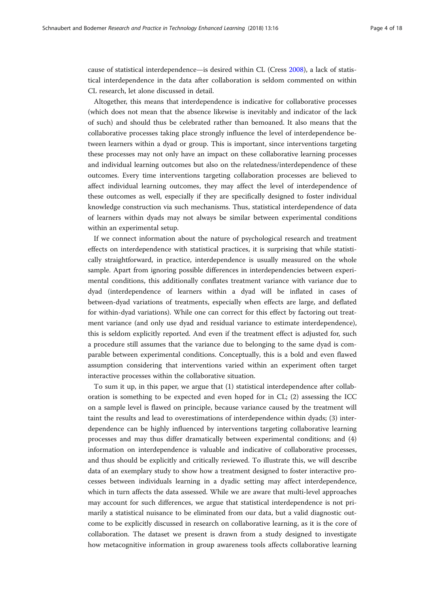cause of statistical interdependence—is desired within CL (Cress [2008](#page-16-0)), a lack of statistical interdependence in the data after collaboration is seldom commented on within CL research, let alone discussed in detail.

Altogether, this means that interdependence is indicative for collaborative processes (which does not mean that the absence likewise is inevitably and indicator of the lack of such) and should thus be celebrated rather than bemoaned. It also means that the collaborative processes taking place strongly influence the level of interdependence between learners within a dyad or group. This is important, since interventions targeting these processes may not only have an impact on these collaborative learning processes and individual learning outcomes but also on the relatedness/interdependence of these outcomes. Every time interventions targeting collaboration processes are believed to affect individual learning outcomes, they may affect the level of interdependence of these outcomes as well, especially if they are specifically designed to foster individual knowledge construction via such mechanisms. Thus, statistical interdependence of data of learners within dyads may not always be similar between experimental conditions within an experimental setup.

If we connect information about the nature of psychological research and treatment effects on interdependence with statistical practices, it is surprising that while statistically straightforward, in practice, interdependence is usually measured on the whole sample. Apart from ignoring possible differences in interdependencies between experimental conditions, this additionally conflates treatment variance with variance due to dyad (interdependence of learners within a dyad will be inflated in cases of between-dyad variations of treatments, especially when effects are large, and deflated for within-dyad variations). While one can correct for this effect by factoring out treatment variance (and only use dyad and residual variance to estimate interdependence), this is seldom explicitly reported. And even if the treatment effect is adjusted for, such a procedure still assumes that the variance due to belonging to the same dyad is comparable between experimental conditions. Conceptually, this is a bold and even flawed assumption considering that interventions varied within an experiment often target interactive processes within the collaborative situation.

To sum it up, in this paper, we argue that (1) statistical interdependence after collaboration is something to be expected and even hoped for in CL; (2) assessing the ICC on a sample level is flawed on principle, because variance caused by the treatment will taint the results and lead to overestimations of interdependence within dyads; (3) interdependence can be highly influenced by interventions targeting collaborative learning processes and may thus differ dramatically between experimental conditions; and (4) information on interdependence is valuable and indicative of collaborative processes, and thus should be explicitly and critically reviewed. To illustrate this, we will describe data of an exemplary study to show how a treatment designed to foster interactive processes between individuals learning in a dyadic setting may affect interdependence, which in turn affects the data assessed. While we are aware that multi-level approaches may account for such differences, we argue that statistical interdependence is not primarily a statistical nuisance to be eliminated from our data, but a valid diagnostic outcome to be explicitly discussed in research on collaborative learning, as it is the core of collaboration. The dataset we present is drawn from a study designed to investigate how metacognitive information in group awareness tools affects collaborative learning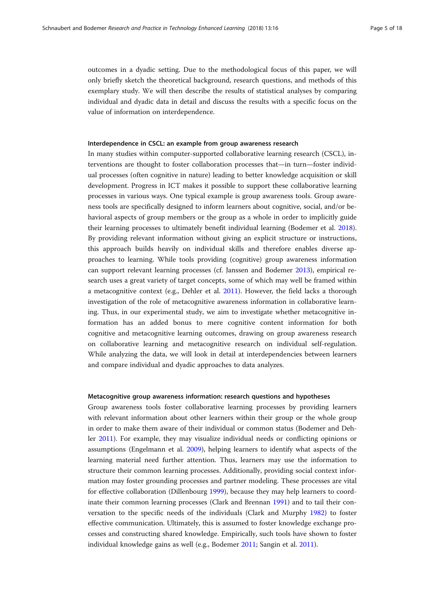outcomes in a dyadic setting. Due to the methodological focus of this paper, we will only briefly sketch the theoretical background, research questions, and methods of this exemplary study. We will then describe the results of statistical analyses by comparing individual and dyadic data in detail and discuss the results with a specific focus on the value of information on interdependence.

# Interdependence in CSCL: an example from group awareness research

In many studies within computer-supported collaborative learning research (CSCL), interventions are thought to foster collaboration processes that—in turn—foster individual processes (often cognitive in nature) leading to better knowledge acquisition or skill development. Progress in ICT makes it possible to support these collaborative learning processes in various ways. One typical example is group awareness tools. Group awareness tools are specifically designed to inform learners about cognitive, social, and/or behavioral aspects of group members or the group as a whole in order to implicitly guide their learning processes to ultimately benefit individual learning (Bodemer et al. [2018](#page-16-0)). By providing relevant information without giving an explicit structure or instructions, this approach builds heavily on individual skills and therefore enables diverse approaches to learning. While tools providing (cognitive) group awareness information can support relevant learning processes (cf. Janssen and Bodemer [2013](#page-16-0)), empirical research uses a great variety of target concepts, some of which may well be framed within a metacognitive context (e.g., Dehler et al. [2011\)](#page-16-0). However, the field lacks a thorough investigation of the role of metacognitive awareness information in collaborative learning. Thus, in our experimental study, we aim to investigate whether metacognitive information has an added bonus to mere cognitive content information for both cognitive and metacognitive learning outcomes, drawing on group awareness research on collaborative learning and metacognitive research on individual self-regulation. While analyzing the data, we will look in detail at interdependencies between learners and compare individual and dyadic approaches to data analyzes.

# Metacognitive group awareness information: research questions and hypotheses

Group awareness tools foster collaborative learning processes by providing learners with relevant information about other learners within their group or the whole group in order to make them aware of their individual or common status (Bodemer and Dehler [2011\)](#page-16-0). For example, they may visualize individual needs or conflicting opinions or assumptions (Engelmann et al. [2009\)](#page-16-0), helping learners to identify what aspects of the learning material need further attention. Thus, learners may use the information to structure their common learning processes. Additionally, providing social context information may foster grounding processes and partner modeling. These processes are vital for effective collaboration (Dillenbourg [1999\)](#page-16-0), because they may help learners to coordinate their common learning processes (Clark and Brennan [1991\)](#page-16-0) and to tail their conversation to the specific needs of the individuals (Clark and Murphy [1982\)](#page-16-0) to foster effective communication. Ultimately, this is assumed to foster knowledge exchange processes and constructing shared knowledge. Empirically, such tools have shown to foster individual knowledge gains as well (e.g., Bodemer [2011;](#page-16-0) Sangin et al. [2011](#page-17-0)).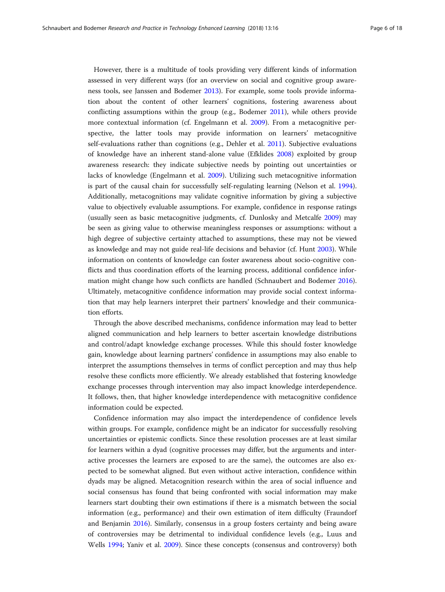However, there is a multitude of tools providing very different kinds of information assessed in very different ways (for an overview on social and cognitive group awareness tools, see Janssen and Bodemer [2013\)](#page-16-0). For example, some tools provide information about the content of other learners' cognitions, fostering awareness about conflicting assumptions within the group (e.g., Bodemer [2011](#page-16-0)), while others provide more contextual information (cf. Engelmann et al. [2009](#page-16-0)). From a metacognitive perspective, the latter tools may provide information on learners' metacognitive self-evaluations rather than cognitions (e.g., Dehler et al. [2011\)](#page-16-0). Subjective evaluations of knowledge have an inherent stand-alone value (Efklides [2008](#page-16-0)) exploited by group awareness research: they indicate subjective needs by pointing out uncertainties or lacks of knowledge (Engelmann et al. [2009\)](#page-16-0). Utilizing such metacognitive information is part of the causal chain for successfully self-regulating learning (Nelson et al. [1994](#page-17-0)). Additionally, metacognitions may validate cognitive information by giving a subjective value to objectively evaluable assumptions. For example, confidence in response ratings (usually seen as basic metacognitive judgments, cf. Dunlosky and Metcalfe [2009\)](#page-16-0) may be seen as giving value to otherwise meaningless responses or assumptions: without a high degree of subjective certainty attached to assumptions, these may not be viewed as knowledge and may not guide real-life decisions and behavior (cf. Hunt [2003\)](#page-16-0). While information on contents of knowledge can foster awareness about socio-cognitive conflicts and thus coordination efforts of the learning process, additional confidence information might change how such conflicts are handled (Schnaubert and Bodemer [2016](#page-17-0)). Ultimately, metacognitive confidence information may provide social context information that may help learners interpret their partners' knowledge and their communication efforts.

Through the above described mechanisms, confidence information may lead to better aligned communication and help learners to better ascertain knowledge distributions and control/adapt knowledge exchange processes. While this should foster knowledge gain, knowledge about learning partners' confidence in assumptions may also enable to interpret the assumptions themselves in terms of conflict perception and may thus help resolve these conflicts more efficiently. We already established that fostering knowledge exchange processes through intervention may also impact knowledge interdependence. It follows, then, that higher knowledge interdependence with metacognitive confidence information could be expected.

Confidence information may also impact the interdependence of confidence levels within groups. For example, confidence might be an indicator for successfully resolving uncertainties or epistemic conflicts. Since these resolution processes are at least similar for learners within a dyad (cognitive processes may differ, but the arguments and interactive processes the learners are exposed to are the same), the outcomes are also expected to be somewhat aligned. But even without active interaction, confidence within dyads may be aligned. Metacognition research within the area of social influence and social consensus has found that being confronted with social information may make learners start doubting their own estimations if there is a mismatch between the social information (e.g., performance) and their own estimation of item difficulty (Fraundorf and Benjamin [2016\)](#page-16-0). Similarly, consensus in a group fosters certainty and being aware of controversies may be detrimental to individual confidence levels (e.g., Luus and Wells [1994](#page-17-0); Yaniv et al. [2009](#page-17-0)). Since these concepts (consensus and controversy) both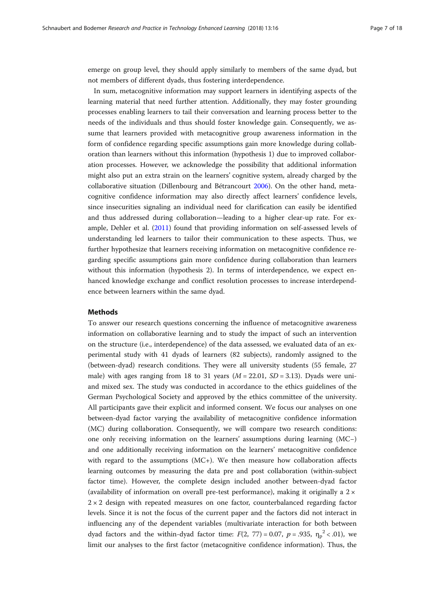emerge on group level, they should apply similarly to members of the same dyad, but not members of different dyads, thus fostering interdependence.

In sum, metacognitive information may support learners in identifying aspects of the learning material that need further attention. Additionally, they may foster grounding processes enabling learners to tail their conversation and learning process better to the needs of the individuals and thus should foster knowledge gain. Consequently, we assume that learners provided with metacognitive group awareness information in the form of confidence regarding specific assumptions gain more knowledge during collaboration than learners without this information (hypothesis 1) due to improved collaboration processes. However, we acknowledge the possibility that additional information might also put an extra strain on the learners' cognitive system, already charged by the collaborative situation (Dillenbourg and Bétrancourt [2006](#page-16-0)). On the other hand, metacognitive confidence information may also directly affect learners' confidence levels, since insecurities signaling an individual need for clarification can easily be identified and thus addressed during collaboration—leading to a higher clear-up rate. For example, Dehler et al. ([2011](#page-16-0)) found that providing information on self-assessed levels of understanding led learners to tailor their communication to these aspects. Thus, we further hypothesize that learners receiving information on metacognitive confidence regarding specific assumptions gain more confidence during collaboration than learners without this information (hypothesis 2). In terms of interdependence, we expect enhanced knowledge exchange and conflict resolution processes to increase interdependence between learners within the same dyad.

# Methods

To answer our research questions concerning the influence of metacognitive awareness information on collaborative learning and to study the impact of such an intervention on the structure (i.e., interdependence) of the data assessed, we evaluated data of an experimental study with 41 dyads of learners (82 subjects), randomly assigned to the (between-dyad) research conditions. They were all university students (55 female, 27 male) with ages ranging from 18 to 31 years  $(M = 22.01, SD = 3.13)$ . Dyads were uniand mixed sex. The study was conducted in accordance to the ethics guidelines of the German Psychological Society and approved by the ethics committee of the university. All participants gave their explicit and informed consent. We focus our analyses on one between-dyad factor varying the availability of metacognitive confidence information (MC) during collaboration. Consequently, we will compare two research conditions: one only receiving information on the learners' assumptions during learning (MC−) and one additionally receiving information on the learners' metacognitive confidence with regard to the assumptions (MC+). We then measure how collaboration affects learning outcomes by measuring the data pre and post collaboration (within-subject factor time). However, the complete design included another between-dyad factor (availability of information on overall pre-test performance), making it originally a  $2 \times$  $2 \times 2$  design with repeated measures on one factor, counterbalanced regarding factor levels. Since it is not the focus of the current paper and the factors did not interact in influencing any of the dependent variables (multivariate interaction for both between dyad factors and the within-dyad factor time:  $F(2, 77) = 0.07$ ,  $p = .935$ ,  $\eta_p^2 < .01$ ), we limit our analyses to the first factor (metacognitive confidence information). Thus, the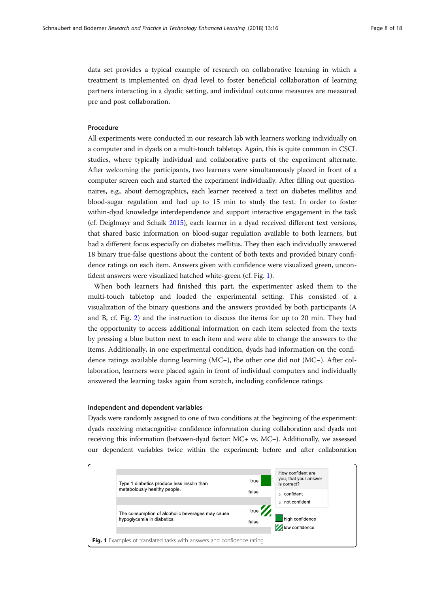data set provides a typical example of research on collaborative learning in which a treatment is implemented on dyad level to foster beneficial collaboration of learning partners interacting in a dyadic setting, and individual outcome measures are measured pre and post collaboration.

# Procedure

All experiments were conducted in our research lab with learners working individually on a computer and in dyads on a multi-touch tabletop. Again, this is quite common in CSCL studies, where typically individual and collaborative parts of the experiment alternate. After welcoming the participants, two learners were simultaneously placed in front of a computer screen each and started the experiment individually. After filling out questionnaires, e.g., about demographics, each learner received a text on diabetes mellitus and blood-sugar regulation and had up to 15 min to study the text. In order to foster within-dyad knowledge interdependence and support interactive engagement in the task (cf. Deiglmayr and Schalk [2015\)](#page-16-0), each learner in a dyad received different text versions, that shared basic information on blood-sugar regulation available to both learners, but had a different focus especially on diabetes mellitus. They then each individually answered 18 binary true-false questions about the content of both texts and provided binary confidence ratings on each item. Answers given with confidence were visualized green, unconfident answers were visualized hatched white-green (cf. Fig. 1).

When both learners had finished this part, the experimenter asked them to the multi-touch tabletop and loaded the experimental setting. This consisted of a visualization of the binary questions and the answers provided by both participants (A and B, cf. Fig. [2](#page-8-0)) and the instruction to discuss the items for up to 20 min. They had the opportunity to access additional information on each item selected from the texts by pressing a blue button next to each item and were able to change the answers to the items. Additionally, in one experimental condition, dyads had information on the confidence ratings available during learning (MC+), the other one did not (MC−). After collaboration, learners were placed again in front of individual computers and individually answered the learning tasks again from scratch, including confidence ratings.

# Independent and dependent variables

Dyads were randomly assigned to one of two conditions at the beginning of the experiment: dyads receiving metacognitive confidence information during collaboration and dyads not receiving this information (between-dyad factor: MC+ vs. MC−). Additionally, we assessed our dependent variables twice within the experiment: before and after collaboration

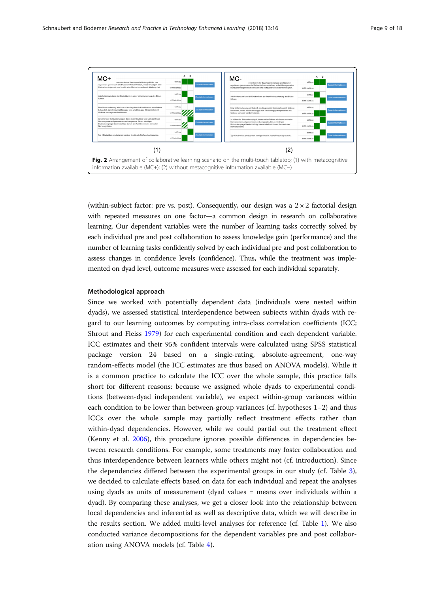<span id="page-8-0"></span>

(within-subject factor: pre vs. post). Consequently, our design was a  $2 \times 2$  factorial design with repeated measures on one factor—a common design in research on collaborative learning. Our dependent variables were the number of learning tasks correctly solved by each individual pre and post collaboration to assess knowledge gain (performance) and the number of learning tasks confidently solved by each individual pre and post collaboration to assess changes in confidence levels (confidence). Thus, while the treatment was implemented on dyad level, outcome measures were assessed for each individual separately.

# Methodological approach

Since we worked with potentially dependent data (individuals were nested within dyads), we assessed statistical interdependence between subjects within dyads with regard to our learning outcomes by computing intra-class correlation coefficients (ICC; Shrout and Fleiss [1979\)](#page-17-0) for each experimental condition and each dependent variable. ICC estimates and their 95% confident intervals were calculated using SPSS statistical package version 24 based on a single-rating, absolute-agreement, one-way random-effects model (the ICC estimates are thus based on ANOVA models). While it is a common practice to calculate the ICC over the whole sample, this practice falls short for different reasons: because we assigned whole dyads to experimental conditions (between-dyad independent variable), we expect within-group variances within each condition to be lower than between-group variances (cf. hypotheses 1–2) and thus ICCs over the whole sample may partially reflect treatment effects rather than within-dyad dependencies. However, while we could partial out the treatment effect (Kenny et al. [2006](#page-17-0)), this procedure ignores possible differences in dependencies between research conditions. For example, some treatments may foster collaboration and thus interdependence between learners while others might not (cf. introduction). Since the dependencies differed between the experimental groups in our study (cf. Table [3](#page-11-0)), we decided to calculate effects based on data for each individual and repeat the analyses using dyads as units of measurement (dyad values = means over individuals within a dyad). By comparing these analyses, we get a closer look into the relationship between local dependencies and inferential as well as descriptive data, which we will describe in the results section. We added multi-level analyses for reference (cf. Table [1\)](#page-9-0). We also conducted variance decompositions for the dependent variables pre and post collaboration using ANOVA models (cf. Table [4\)](#page-11-0).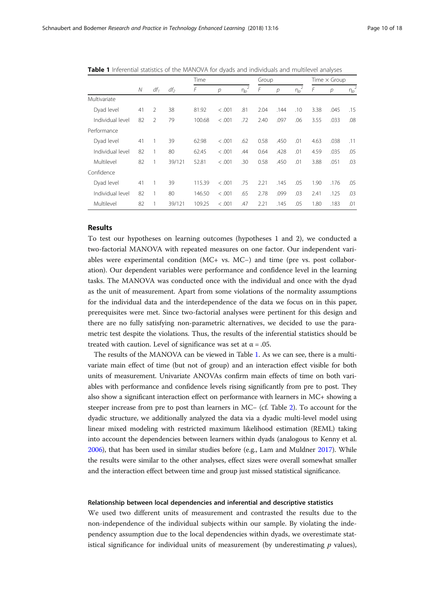|                  |    | $df_1$        | $df_2$ | Time   |                | Group                            |      |                | Time $\times$ Group              |      |                |                                  |
|------------------|----|---------------|--------|--------|----------------|----------------------------------|------|----------------|----------------------------------|------|----------------|----------------------------------|
|                  | N  |               |        | F      | $\overline{p}$ | $\overline{2}$<br>$\eta_{\rm p}$ | F    | $\overline{p}$ | $\overline{2}$<br>$\eta_{\rm p}$ | F    | $\overline{p}$ | $\overline{2}$<br>$\eta_{\rm p}$ |
| Multivariate     |    |               |        |        |                |                                  |      |                |                                  |      |                |                                  |
| Dyad level       | 41 | $\mathcal{P}$ | 38     | 81.92  | < .001         | .81                              | 2.04 | .144           | .10                              | 3.38 | .045           | .15                              |
| Individual level | 82 | $\mathcal{P}$ | 79     | 100.68 | < .001         | .72                              | 2.40 | .097           | .06                              | 3.55 | .033           | .08                              |
| Performance      |    |               |        |        |                |                                  |      |                |                                  |      |                |                                  |
| Dyad level       | 41 |               | 39     | 62.98  | < 0.001        | .62                              | 0.58 | .450           | .01                              | 4.63 | .038           | .11                              |
| Individual level | 82 |               | 80     | 62.45  | < .001         | .44                              | 0.64 | .428           | .01                              | 4.59 | .035           | .05                              |
| Multilevel       | 82 |               | 39/121 | 52.81  | < 0.001        | .30                              | 0.58 | .450           | .01                              | 3.88 | .051           | .03                              |
| Confidence       |    |               |        |        |                |                                  |      |                |                                  |      |                |                                  |
| Dyad level       | 41 |               | 39     | 115.39 | < 0.001        | .75                              | 2.21 | .145           | .05                              | 1.90 | .176           | .05                              |
| Individual level | 82 |               | 80     | 146.50 | < .001         | .65                              | 2.78 | .099           | .03                              | 2.41 | .125           | .03                              |
| Multilevel       | 82 |               | 39/121 | 109.25 | < 0.001        | .47                              | 2.21 | .145           | .05                              | 1.80 | .183           | .01                              |

<span id="page-9-0"></span>Table 1 Inferential statistics of the MANOVA for dyads and individuals and multilevel analyses

# Results

To test our hypotheses on learning outcomes (hypotheses 1 and 2), we conducted a two-factorial MANOVA with repeated measures on one factor. Our independent variables were experimental condition (MC+ vs. MC−) and time (pre vs. post collaboration). Our dependent variables were performance and confidence level in the learning tasks. The MANOVA was conducted once with the individual and once with the dyad as the unit of measurement. Apart from some violations of the normality assumptions for the individual data and the interdependence of the data we focus on in this paper, prerequisites were met. Since two-factorial analyses were pertinent for this design and there are no fully satisfying non-parametric alternatives, we decided to use the parametric test despite the violations. Thus, the results of the inferential statistics should be treated with caution. Level of significance was set at  $\alpha = .05$ .

The results of the MANOVA can be viewed in Table 1. As we can see, there is a multivariate main effect of time (but not of group) and an interaction effect visible for both units of measurement. Univariate ANOVAs confirm main effects of time on both variables with performance and confidence levels rising significantly from pre to post. They also show a significant interaction effect on performance with learners in MC+ showing a steeper increase from pre to post than learners in MC− (cf. Table [2](#page-10-0)). To account for the dyadic structure, we additionally analyzed the data via a dyadic multi-level model using linear mixed modeling with restricted maximum likelihood estimation (REML) taking into account the dependencies between learners within dyads (analogous to Kenny et al. [2006\)](#page-17-0), that has been used in similar studies before (e.g., Lam and Muldner [2017\)](#page-17-0). While the results were similar to the other analyses, effect sizes were overall somewhat smaller and the interaction effect between time and group just missed statistical significance.

# Relationship between local dependencies and inferential and descriptive statistics

We used two different units of measurement and contrasted the results due to the non-independence of the individual subjects within our sample. By violating the independency assumption due to the local dependencies within dyads, we overestimate statistical significance for individual units of measurement (by underestimating  $p$  values),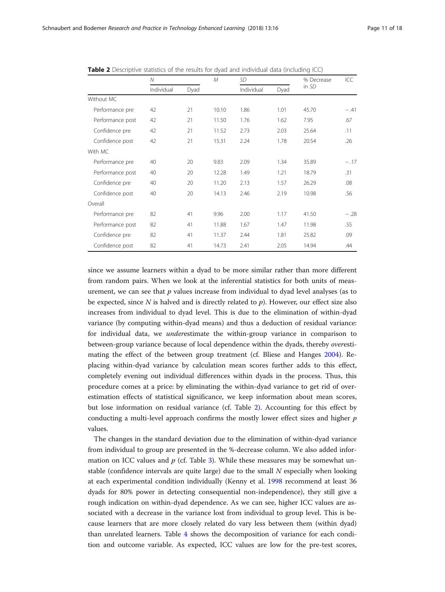|                  | N          |      | M     | SD         |      | % Decrease | ICC    |
|------------------|------------|------|-------|------------|------|------------|--------|
|                  | Individual | Dyad |       | Individual | Dyad | in SD      |        |
| Without MC       |            |      |       |            |      |            |        |
| Performance pre  | 42         | 21   | 10.10 | 1.86       | 1.01 | 45.70      | $-.41$ |
| Performance post | 42         | 21   | 11.50 | 1.76       | 1.62 | 7.95       | .67    |
| Confidence pre   | 42         | 21   | 11.52 | 2.73       | 2.03 | 25.64      | .11    |
| Confidence post  | 42         | 21   | 15.31 | 2.24       | 1.78 | 20.54      | .26    |
| With MC          |            |      |       |            |      |            |        |
| Performance pre  | 40         | 20   | 9.83  | 2.09       | 1.34 | 35.89      | $-.17$ |
| Performance post | 40         | 20   | 12.28 | 1.49       | 1.21 | 18.79      | .31    |
| Confidence pre   | 40         | 20   | 11.20 | 2.13       | 1.57 | 26.29      | .08    |
| Confidence post  | 40         | 20   | 14.13 | 2.46       | 2.19 | 10.98      | .56    |
| Overall          |            |      |       |            |      |            |        |
| Performance pre  | 82         | 41   | 9.96  | 2.00       | 1.17 | 41.50      | $-.28$ |
| Performance post | 82         | 41   | 11.88 | 1.67       | 1.47 | 11.98      | .55    |
| Confidence pre   | 82         | 41   | 11.37 | 2.44       | 1.81 | 25.82      | .09    |
| Confidence post  | 82         | 41   | 14.73 | 2.41       | 2.05 | 14.94      | .44    |

<span id="page-10-0"></span>Table 2 Descriptive statistics of the results for dyad and individual data (including ICC)

since we assume learners within a dyad to be more similar rather than more different from random pairs. When we look at the inferential statistics for both units of measurement, we can see that  $p$  values increase from individual to dyad level analyses (as to be expected, since  $N$  is halved and is directly related to  $p$ ). However, our effect size also increases from individual to dyad level. This is due to the elimination of within-dyad variance (by computing within-dyad means) and thus a deduction of residual variance: for individual data, we underestimate the within-group variance in comparison to between-group variance because of local dependence within the dyads, thereby overestimating the effect of the between group treatment (cf. Bliese and Hanges [2004\)](#page-16-0). Replacing within-dyad variance by calculation mean scores further adds to this effect, completely evening out individual differences within dyads in the process. Thus, this procedure comes at a price: by eliminating the within-dyad variance to get rid of overestimation effects of statistical significance, we keep information about mean scores, but lose information on residual variance (cf. Table 2). Accounting for this effect by conducting a multi-level approach confirms the mostly lower effect sizes and higher  $p$ values.

The changes in the standard deviation due to the elimination of within-dyad variance from individual to group are presented in the %-decrease column. We also added information on ICC values and  $p$  (cf. Table [3\)](#page-11-0). While these measures may be somewhat unstable (confidence intervals are quite large) due to the small  $N$  especially when looking at each experimental condition individually (Kenny et al. [1998](#page-17-0) recommend at least 36 dyads for 80% power in detecting consequential non-independence), they still give a rough indication on within-dyad dependence. As we can see, higher ICC values are associated with a decrease in the variance lost from individual to group level. This is because learners that are more closely related do vary less between them (within dyad) than unrelated learners. Table [4](#page-11-0) shows the decomposition of variance for each condition and outcome variable. As expected, ICC values are low for the pre-test scores,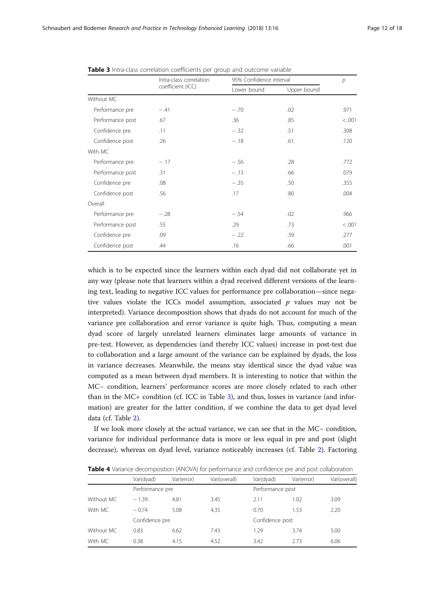|                  | Intra-class correlation | 95% Confidence interval | $\overline{p}$ |         |
|------------------|-------------------------|-------------------------|----------------|---------|
|                  | coefficient (ICC)       | Lower bound             | Upper bound    |         |
| Without MC       |                         |                         |                |         |
| Performance pre  | $-.41$                  | $-.70$                  | .02            | .971    |
| Performance post | .67                     | .36                     | .85            | < 0.001 |
| Confidence pre   | .11                     | $-.32$                  | .51            | .308    |
| Confidence post  | .26                     | $-.18$                  | .61            | .120    |
| With MC          |                         |                         |                |         |
| Performance pre  | $-.17$                  | $-.56$                  | .28            | .772    |
| Performance post | .31                     | $-.13$                  | .66            | .079    |
| Confidence pre   | .08                     | $-.35$                  | .50            | .355    |
| Confidence post  | .56                     | .17                     | .80            | .004    |
| Overall          |                         |                         |                |         |
| Performance pre  | $-.28$                  | $-.54$                  | .02            | .966    |
| Performance post | .55                     | .29                     | .73            | < .001  |
| Confidence pre   | .09                     | $-.22$                  | .39            | .277    |
| Confidence post  | .44                     | .16                     | .66            | .001    |

<span id="page-11-0"></span>Table 3 Intra-class correlation coefficients per group and outcome variable

which is to be expected since the learners within each dyad did not collaborate yet in any way (please note that learners within a dyad received different versions of the learning text, leading to negative ICC values for performance pre collaboration—since negative values violate the ICCs model assumption, associated  $p$  values may not be interpreted). Variance decomposition shows that dyads do not account for much of the variance pre collaboration and error variance is quite high. Thus, computing a mean dyad score of largely unrelated learners eliminates large amounts of variance in pre-test. However, as dependencies (and thereby ICC values) increase in post-test due to collaboration and a large amount of the variance can be explained by dyads, the loss in variance decreases. Meanwhile, the means stay identical since the dyad value was computed as a mean between dyad members. It is interesting to notice that within the MC− condition, learners' performance scores are more closely related to each other than in the MC+ condition (cf. ICC in Table 3), and thus, losses in variance (and information) are greater for the latter condition, if we combine the data to get dyad level data (cf. Table [2](#page-10-0)).

If we look more closely at the actual variance, we can see that in the MC− condition, variance for individual performance data is more or less equal in pre and post (slight decrease), whereas on dyad level, variance noticeably increases (cf. Table [2](#page-10-0)). Factoring

|            |                 |            | <b>TWIS</b> THE REPORT OF A CONTROLLY TO THE PERSON TO BE THE CONTROL TO THE REPORT OF A REPORT OF THE CONDITION OF THE REPORT OF THE REPORT OF THE REPORT OF THE REPORT OF THE REPORT OF THE REPORT OF THE REPORT OF THE REPORT OF |                  |            |              |  |
|------------|-----------------|------------|-------------------------------------------------------------------------------------------------------------------------------------------------------------------------------------------------------------------------------------|------------------|------------|--------------|--|
|            | Var(dyad)       | Var(error) | Var(overall)                                                                                                                                                                                                                        | Var(dyad)        | Var(error) | Var(overall) |  |
|            | Performance pre |            |                                                                                                                                                                                                                                     | Performance post |            |              |  |
| Without MC | $-1.39$         | 4.81       | 3.45                                                                                                                                                                                                                                | 2.11             | 1.02       | 3.09         |  |
| With MC    | $-0.74$         | 5.08       | 4.35                                                                                                                                                                                                                                | 0.70             | 1.53       | 2.20         |  |
|            | Confidence pre  |            |                                                                                                                                                                                                                                     | Confidence post  |            |              |  |
| Without MC | 0.83            | 6.62       | 7.43                                                                                                                                                                                                                                | 1.29             | 3.74       | 5.00         |  |
| With MC    | 0.38            | 4.15       | 4.52                                                                                                                                                                                                                                | 3.42             | 2.73       | 6.06         |  |

Table 4 Variance decomposition (ANOVA) for performance and confidence pre and post collaboration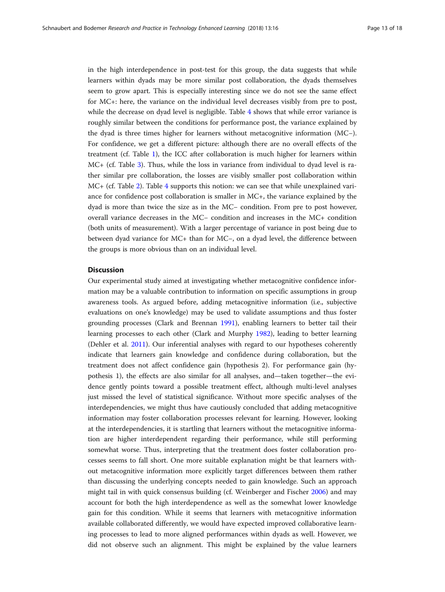in the high interdependence in post-test for this group, the data suggests that while learners within dyads may be more similar post collaboration, the dyads themselves seem to grow apart. This is especially interesting since we do not see the same effect for MC+: here, the variance on the individual level decreases visibly from pre to post, while the decrease on dyad level is negligible. Table [4](#page-11-0) shows that while error variance is roughly similar between the conditions for performance post, the variance explained by the dyad is three times higher for learners without metacognitive information (MC−). For confidence, we get a different picture: although there are no overall effects of the treatment (cf. Table [1](#page-9-0)), the ICC after collaboration is much higher for learners within MC+ (cf. Table [3\)](#page-11-0). Thus, while the loss in variance from individual to dyad level is rather similar pre collaboration, the losses are visibly smaller post collaboration within MC+ (cf. Table [2](#page-10-0)). Table [4](#page-11-0) supports this notion: we can see that while unexplained variance for confidence post collaboration is smaller in MC+, the variance explained by the dyad is more than twice the size as in the MC− condition. From pre to post however, overall variance decreases in the MC− condition and increases in the MC+ condition (both units of measurement). With a larger percentage of variance in post being due to between dyad variance for MC+ than for MC−, on a dyad level, the difference between the groups is more obvious than on an individual level.

# **Discussion**

Our experimental study aimed at investigating whether metacognitive confidence information may be a valuable contribution to information on specific assumptions in group awareness tools. As argued before, adding metacognitive information (i.e., subjective evaluations on one's knowledge) may be used to validate assumptions and thus foster grounding processes (Clark and Brennan [1991\)](#page-16-0), enabling learners to better tail their learning processes to each other (Clark and Murphy [1982](#page-16-0)), leading to better learning (Dehler et al. [2011](#page-16-0)). Our inferential analyses with regard to our hypotheses coherently indicate that learners gain knowledge and confidence during collaboration, but the treatment does not affect confidence gain (hypothesis 2). For performance gain (hypothesis 1), the effects are also similar for all analyses, and—taken together—the evidence gently points toward a possible treatment effect, although multi-level analyses just missed the level of statistical significance. Without more specific analyses of the interdependencies, we might thus have cautiously concluded that adding metacognitive information may foster collaboration processes relevant for learning. However, looking at the interdependencies, it is startling that learners without the metacognitive information are higher interdependent regarding their performance, while still performing somewhat worse. Thus, interpreting that the treatment does foster collaboration processes seems to fall short. One more suitable explanation might be that learners without metacognitive information more explicitly target differences between them rather than discussing the underlying concepts needed to gain knowledge. Such an approach might tail in with quick consensus building (cf. Weinberger and Fischer [2006](#page-17-0)) and may account for both the high interdependence as well as the somewhat lower knowledge gain for this condition. While it seems that learners with metacognitive information available collaborated differently, we would have expected improved collaborative learning processes to lead to more aligned performances within dyads as well. However, we did not observe such an alignment. This might be explained by the value learners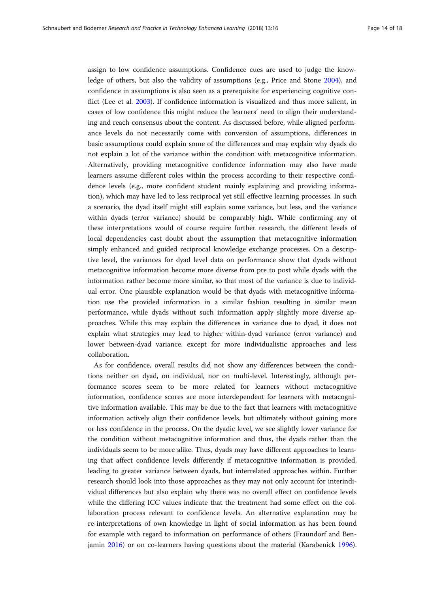assign to low confidence assumptions. Confidence cues are used to judge the knowledge of others, but also the validity of assumptions (e.g., Price and Stone [2004](#page-17-0)), and confidence in assumptions is also seen as a prerequisite for experiencing cognitive conflict (Lee et al. [2003](#page-17-0)). If confidence information is visualized and thus more salient, in cases of low confidence this might reduce the learners' need to align their understanding and reach consensus about the content. As discussed before, while aligned performance levels do not necessarily come with conversion of assumptions, differences in basic assumptions could explain some of the differences and may explain why dyads do not explain a lot of the variance within the condition with metacognitive information. Alternatively, providing metacognitive confidence information may also have made learners assume different roles within the process according to their respective confidence levels (e.g., more confident student mainly explaining and providing information), which may have led to less reciprocal yet still effective learning processes. In such a scenario, the dyad itself might still explain some variance, but less, and the variance within dyads (error variance) should be comparably high. While confirming any of these interpretations would of course require further research, the different levels of local dependencies cast doubt about the assumption that metacognitive information simply enhanced and guided reciprocal knowledge exchange processes. On a descriptive level, the variances for dyad level data on performance show that dyads without metacognitive information become more diverse from pre to post while dyads with the information rather become more similar, so that most of the variance is due to individual error. One plausible explanation would be that dyads with metacognitive information use the provided information in a similar fashion resulting in similar mean performance, while dyads without such information apply slightly more diverse approaches. While this may explain the differences in variance due to dyad, it does not explain what strategies may lead to higher within-dyad variance (error variance) and lower between-dyad variance, except for more individualistic approaches and less collaboration.

As for confidence, overall results did not show any differences between the conditions neither on dyad, on individual, nor on multi-level. Interestingly, although performance scores seem to be more related for learners without metacognitive information, confidence scores are more interdependent for learners with metacognitive information available. This may be due to the fact that learners with metacognitive information actively align their confidence levels, but ultimately without gaining more or less confidence in the process. On the dyadic level, we see slightly lower variance for the condition without metacognitive information and thus, the dyads rather than the individuals seem to be more alike. Thus, dyads may have different approaches to learning that affect confidence levels differently if metacognitive information is provided, leading to greater variance between dyads, but interrelated approaches within. Further research should look into those approaches as they may not only account for interindividual differences but also explain why there was no overall effect on confidence levels while the differing ICC values indicate that the treatment had some effect on the collaboration process relevant to confidence levels. An alternative explanation may be re-interpretations of own knowledge in light of social information as has been found for example with regard to information on performance of others (Fraundorf and Benjamin [2016\)](#page-16-0) or on co-learners having questions about the material (Karabenick [1996](#page-16-0)).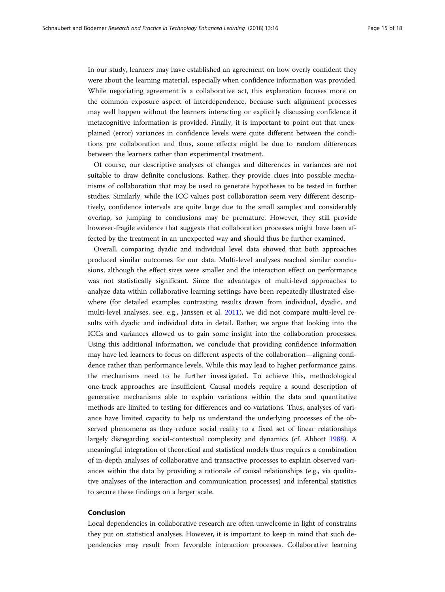In our study, learners may have established an agreement on how overly confident they were about the learning material, especially when confidence information was provided. While negotiating agreement is a collaborative act, this explanation focuses more on the common exposure aspect of interdependence, because such alignment processes may well happen without the learners interacting or explicitly discussing confidence if metacognitive information is provided. Finally, it is important to point out that unexplained (error) variances in confidence levels were quite different between the conditions pre collaboration and thus, some effects might be due to random differences between the learners rather than experimental treatment.

Of course, our descriptive analyses of changes and differences in variances are not suitable to draw definite conclusions. Rather, they provide clues into possible mechanisms of collaboration that may be used to generate hypotheses to be tested in further studies. Similarly, while the ICC values post collaboration seem very different descriptively, confidence intervals are quite large due to the small samples and considerably overlap, so jumping to conclusions may be premature. However, they still provide however-fragile evidence that suggests that collaboration processes might have been affected by the treatment in an unexpected way and should thus be further examined.

Overall, comparing dyadic and individual level data showed that both approaches produced similar outcomes for our data. Multi-level analyses reached similar conclusions, although the effect sizes were smaller and the interaction effect on performance was not statistically significant. Since the advantages of multi-level approaches to analyze data within collaborative learning settings have been repeatedly illustrated elsewhere (for detailed examples contrasting results drawn from individual, dyadic, and multi-level analyses, see, e.g., Janssen et al. [2011\)](#page-16-0), we did not compare multi-level results with dyadic and individual data in detail. Rather, we argue that looking into the ICCs and variances allowed us to gain some insight into the collaboration processes. Using this additional information, we conclude that providing confidence information may have led learners to focus on different aspects of the collaboration—aligning confidence rather than performance levels. While this may lead to higher performance gains, the mechanisms need to be further investigated. To achieve this, methodological one-track approaches are insufficient. Causal models require a sound description of generative mechanisms able to explain variations within the data and quantitative methods are limited to testing for differences and co-variations. Thus, analyses of variance have limited capacity to help us understand the underlying processes of the observed phenomena as they reduce social reality to a fixed set of linear relationships largely disregarding social-contextual complexity and dynamics (cf. Abbott [1988\)](#page-16-0). A meaningful integration of theoretical and statistical models thus requires a combination of in-depth analyses of collaborative and transactive processes to explain observed variances within the data by providing a rationale of causal relationships (e.g., via qualitative analyses of the interaction and communication processes) and inferential statistics to secure these findings on a larger scale.

# Conclusion

Local dependencies in collaborative research are often unwelcome in light of constrains they put on statistical analyses. However, it is important to keep in mind that such dependencies may result from favorable interaction processes. Collaborative learning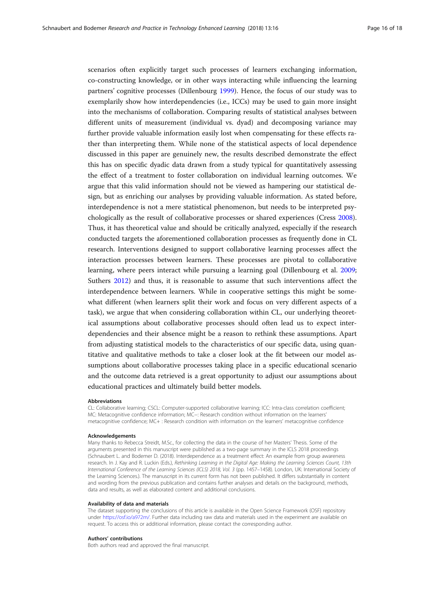scenarios often explicitly target such processes of learners exchanging information, co-constructing knowledge, or in other ways interacting while influencing the learning partners' cognitive processes (Dillenbourg [1999\)](#page-16-0). Hence, the focus of our study was to exemplarily show how interdependencies (i.e., ICCs) may be used to gain more insight into the mechanisms of collaboration. Comparing results of statistical analyses between different units of measurement (individual vs. dyad) and decomposing variance may further provide valuable information easily lost when compensating for these effects rather than interpreting them. While none of the statistical aspects of local dependence discussed in this paper are genuinely new, the results described demonstrate the effect this has on specific dyadic data drawn from a study typical for quantitatively assessing the effect of a treatment to foster collaboration on individual learning outcomes. We argue that this valid information should not be viewed as hampering our statistical design, but as enriching our analyses by providing valuable information. As stated before, interdependence is not a mere statistical phenomenon, but needs to be interpreted psychologically as the result of collaborative processes or shared experiences (Cress [2008](#page-16-0)). Thus, it has theoretical value and should be critically analyzed, especially if the research conducted targets the aforementioned collaboration processes as frequently done in CL research. Interventions designed to support collaborative learning processes affect the interaction processes between learners. These processes are pivotal to collaborative learning, where peers interact while pursuing a learning goal (Dillenbourg et al. [2009](#page-16-0); Suthers [2012](#page-17-0)) and thus, it is reasonable to assume that such interventions affect the interdependence between learners. While in cooperative settings this might be somewhat different (when learners split their work and focus on very different aspects of a task), we argue that when considering collaboration within CL, our underlying theoretical assumptions about collaborative processes should often lead us to expect interdependencies and their absence might be a reason to rethink these assumptions. Apart from adjusting statistical models to the characteristics of our specific data, using quantitative and qualitative methods to take a closer look at the fit between our model assumptions about collaborative processes taking place in a specific educational scenario and the outcome data retrieved is a great opportunity to adjust our assumptions about educational practices and ultimately build better models.

#### Abbreviations

CL: Collaborative learning; CSCL: Computer-supported collaborative learning; ICC: Intra-class correlation coefficient; MC: Metacognitive confidence information; MC−: Research condition without information on the learners' metacognitive confidence; MC+ : Research condition with information on the learners' metacognitive confidence

#### Acknowledgements

Many thanks to Rebecca Streidt, M.Sc., for collecting the data in the course of her Masters' Thesis. Some of the arguments presented in this manuscript were published as a two-page summary in the ICLS 2018 proceedings (Schnaubert L. and Bodemer D. (2018). Interdependence as a treatment effect: An example from group awareness research. In J. Kay and R. Luckin (Eds.), Rethinking Learning in the Digital Age: Making the Learning Sciences Count, 13th International Conference of the Learning Sciences (ICLS) 2018, Vol. 3 (pp. 1457–1458). London, UK: International Society of the Learning Sciences.). The manuscript in its current form has not been published. It differs substantially in content and wording from the previous publication and contains further analyses and details on the background, methods, data and results, as well as elaborated content and additional conclusions.

#### Availability of data and materials

The dataset supporting the conclusions of this article is available in the Open Science Framework (OSF) repository under <https://osf.io/a972m/>. Further data including raw data and materials used in the experiment are available on request. To access this or additional information, please contact the corresponding author.

#### Authors' contributions

Both authors read and approved the final manuscript.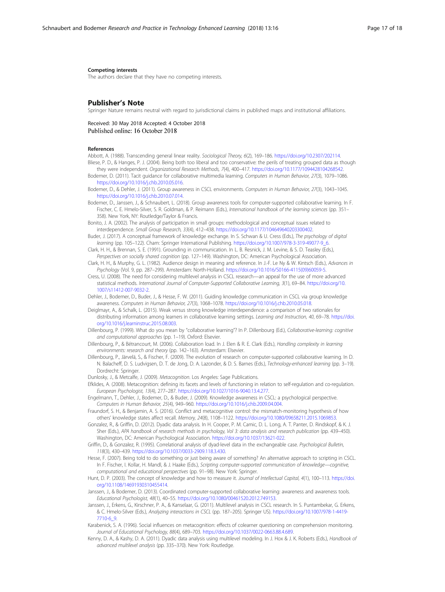### <span id="page-16-0"></span>Competing interests

The authors declare that they have no competing interests.

# Publisher's Note

Springer Nature remains neutral with regard to jurisdictional claims in published maps and institutional affiliations.

Received: 30 May 2018 Accepted: 4 October 2018

#### References

- Abbott, A. (1988). Transcending general linear reality. Sociological Theory, 6(2), 169–186. <https://doi.org/10.2307/202114>. Bliese, P. D., & Hanges, P. J. (2004). Being both too liberal and too conservative: the perils of treating grouped data as though
- they were independent. Organizational Research Methods, 7(4), 400–417. <https://doi.org/10.1177/1094428104268542>. Bodemer, D. (2011). Tacit guidance for collaborative multimedia learning. Computers in Human Behavior, 27(3), 1079–1086.
- [https://doi.org/10.1016/j.chb.2010.05.016.](https://doi.org/10.1016/j.chb.2010.05.016)
- Bodemer, D., & Dehler, J. (2011). Group awareness in CSCL environments. Computers in Human Behavior, 27(3), 1043–1045. [https://doi.org/10.1016/j.chb.2010.07.014.](https://doi.org/10.1016/j.chb.2010.07.014)
- Bodemer, D., Janssen, J., & Schnaubert, L. (2018). Group awareness tools for computer-supported collaborative learning. In F. Fischer, C. E. Hmelo-Silver, S. R. Goldman, & P. Reimann (Eds.), International handbook of the learning sciences (pp. 351– 358). New York, NY: Routledge/Taylor & Francis.
- Bonito, J. A. (2002). The analysis of participation in small groups: methodological and conceptual issues related to interdependence. Small Group Research, 33(4), 412–438. <https://doi.org/10.1177/104649640203300402>.
- Buder, J. (2017). A conceptual framework of knowledge exchange. In S. Schwan & U. Cress (Eds.), The psychology of digital learning (pp. 105–122). Cham: Springer International Publishing. [https://doi.org/10.1007/978-3-319-49077-9\\_6.](https://doi.org/10.1007/978-3-319-49077-9_6)
- Clark, H. H., & Brennan, S. E. (1991). Grounding in communication. In L. B. Resnick, J. M. Levine, & S. D. Teasley (Eds.), Perspectives on socially shared cognition (pp. 127–149). Washington, DC: American Psychological Association.
- Clark, H. H., & Murphy, G. L. (1982). Audience design in meaning and reference. In J.-F. Le Ny & W. Kintsch (Eds.), Advances in Psychology (Vol. 9, pp. 287–299). Amsterdam: North-Holland. [https://doi.org/10.1016/S0166-4115\(09\)60059-5.](https://doi.org/10.1016/S0166-4115(09)60059-5)
- Cress, U. (2008). The need for considering multilevel analysis in CSCL research—an appeal for the use of more advanced statistical methods. International Journal of Computer-Supported Collaborative Learning, 3(1), 69–84. [https://doi.org/10.](https://doi.org/10.1007/s11412-007-9032-2) [1007/s11412-007-9032-2.](https://doi.org/10.1007/s11412-007-9032-2)
- Dehler, J., Bodemer, D., Buder, J., & Hesse, F. W. (2011). Guiding knowledge communication in CSCL via group knowledge awareness. Computers in Human Behavior, 27(3), 1068–1078. [https://doi.org/10.1016/j.chb.2010.05.018.](https://doi.org/10.1016/j.chb.2010.05.018)
- Deiglmayr, A., & Schalk, L. (2015). Weak versus strong knowledge interdependence: a comparison of two rationales for distributing information among learners in collaborative learning settings. Learning and Instruction, 40, 69–78. [https://doi.](https://doi.org/10.1016/j.learninstruc.2015.08.003) [org/10.1016/j.learninstruc.2015.08.003.](https://doi.org/10.1016/j.learninstruc.2015.08.003)
- Dillenbourg, P. (1999). What do you mean by "collaborative learning"? In P. Dillenbourg (Ed.), Collaborative-learning: cognitive and computational approaches (pp. 1–19). Oxford: Elsevier.
- Dillenbourg, P., & Bétrancourt, M. (2006). Collaboration load. In J. Elen & R. E. Clark (Eds.), Handling complexity in learning environments: research and theory (pp. 142–163). Amsterdam: Elsevier.
- Dillenbourg, P., Järvelä, S., & Fischer, F. (2009). The evolution of research on computer-supported collaborative learning. In D. N. Balacheff, D. S. Ludvigsen, D. T. de Jong, D. A. Lazonder, & D. S. Barnes (Eds.), Technology-enhanced learning (pp. 3–19). Dordrecht: Springer.
- Dunlosky, J., & Metcalfe, J. (2009). Metacognition. Los Angeles: Sage Publications.
- Efklides, A. (2008). Metacognition: defining its facets and levels of functioning in relation to self-regulation and co-regulation. European Psychologist, 13(4), 277–287. <https://doi.org/10.1027/1016-9040.13.4.277>.
- Engelmann, T., Dehler, J., Bodemer, D., & Buder, J. (2009). Knowledge awareness in CSCL: a psychological perspective. Computers in Human Behavior, 25(4), 949–960. <https://doi.org/10.1016/j.chb.2009.04.004>.
- Fraundorf, S. H., & Benjamin, A. S. (2016). Conflict and metacognitive control: the mismatch-monitoring hypothesis of how others' knowledge states affect recall. Memory, 24(8), 1108–1122. [https://doi.org/10.1080/09658211.2015.1069853.](https://doi.org/10.1080/09658211.2015.1069853)
- Gonzalez, R., & Griffin, D. (2012). Dyadic data analysis. In H. Cooper, P. M. Camic, D. L. Long, A. T. Panter, D. Rindskopf, & K. J. Sher (Eds.), APA handbook of research methods in psychology, Vol 3: data analysis and research publication (pp. 439–450). Washington, DC: American Psychological Association. [https://doi.org/10.1037/13621-022.](https://doi.org/10.1037/13621-022)
- Griffin, D., & Gonzalez, R. (1995). Correlational analysis of dyad-level data in the exchangeable case. Psychological Bulletin, 118(3), 430–439. <https://doi.org/10.1037/0033-2909.118.3.430>.
- Hesse, F. (2007). Being told to do something or just being aware of something? An alternative approach to scripting in CSCL. In F. Fischer, I. Kollar, H. Mandl, & J. Haake (Eds.), Scripting computer-supported communication of knowledge—cognitive, computational and educational perspectives (pp. 91–98). New York: Springer.
- Hunt, D. P. (2003). The concept of knowledge and how to measure it. Journal of Intellectual Capital, 4(1), 100–113. [https://doi.](https://doi.org/10.1108/14691930310455414) [org/10.1108/14691930310455414.](https://doi.org/10.1108/14691930310455414)
- Janssen, J., & Bodemer, D. (2013). Coordinated computer-supported collaborative learning: awareness and awareness tools. Educational Psychologist, 48(1), 40–55. <https://doi.org/10.1080/00461520.2012.749153>.
- Janssen, J., Erkens, G., Kirschner, P. A., & Kanselaar, G. (2011). Multilevel analysis in CSCL research. In S. Puntambekar, G. Erkens, & C. Hmelo-Silver (Eds.), Analyzing interactions in CSCL (pp. 187–205). Springer US). [https://doi.org/10.1007/978-1-4419-](https://doi.org/10.1007/978-1-4419-7710-6_9) [7710-6\\_9.](https://doi.org/10.1007/978-1-4419-7710-6_9)
- Karabenick, S. A. (1996). Social influences on metacognition: effects of colearner questioning on comprehension monitoring. Journal of Educational Psychology, 88(4), 689–703. <https://doi.org/10.1037/0022-0663.88.4.689>.
- Kenny, D. A., & Kashy, D. A. (2011). Dyadic data analysis using multilevel modeling. In J. Hox & J. K. Roberts (Eds.), Handbook of advanced multilevel analysis (pp. 335–370). New York: Routledge.